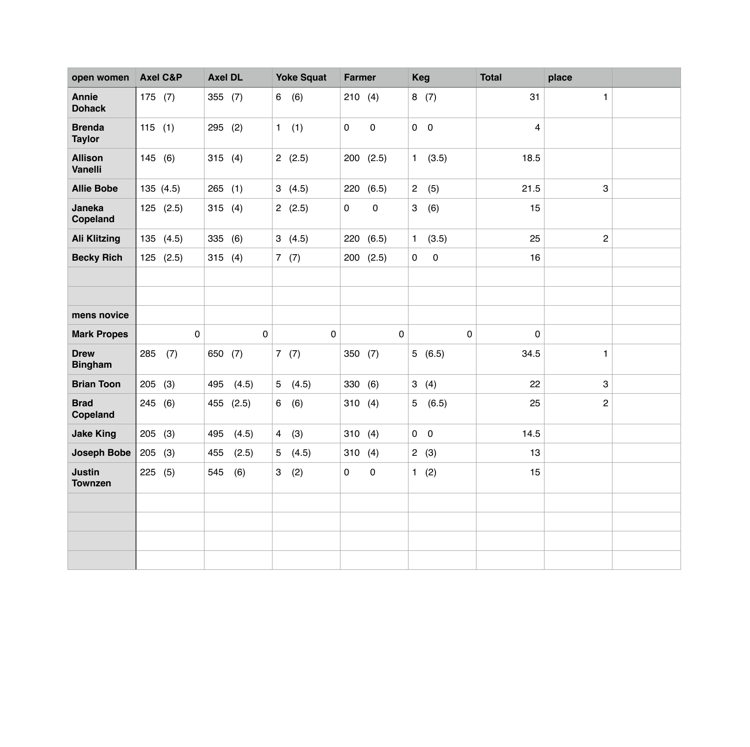| open women                       | <b>Axel C&amp;P</b> |             | <b>Axel DL</b> |             | <b>Yoke Squat</b> |           | <b>Farmer</b> |               | <b>Keg</b>     |             | <b>Total</b>            | place          |  |
|----------------------------------|---------------------|-------------|----------------|-------------|-------------------|-----------|---------------|---------------|----------------|-------------|-------------------------|----------------|--|
| <b>Annie</b><br><b>Dohack</b>    | 175 $(7)$           |             | 355 (7)        |             | 6                 | (6)       | 210(4)        |               |                | 8(7)        | 31                      | $\mathbf{1}$   |  |
| <b>Brenda</b><br><b>Taylor</b>   | 115(1)              |             | 295 (2)        |             | $\mathbf{1}$      | (1)       | $\mathbf 0$   | $\pmb{0}$     | $0\quad 0$     |             | $\overline{\mathbf{4}}$ |                |  |
| <b>Allison</b><br><b>Vanelli</b> | 145(6)              |             | 315(4)         |             |                   | 2(2.5)    |               | $200$ $(2.5)$ |                | 1(3.5)      | 18.5                    |                |  |
| <b>Allie Bobe</b>                | 135 (4.5)           |             | 265(1)         |             | 3                 | (4.5)     | 220           | (6.5)         | $\overline{2}$ | (5)         | 21.5                    | 3              |  |
| Janeka<br>Copeland               | $125$ $(2.5)$       |             | 315(4)         |             |                   | 2(2.5)    | $\mathbf 0$   | $\pmb{0}$     | 3              | (6)         | 15                      |                |  |
| <b>Ali Klitzing</b>              | 135 (4.5)           |             | 335            | (6)         |                   | 3(4.5)    | 220           | (6.5)         | $\mathbf{1}$   | (3.5)       | 25                      | $\overline{c}$ |  |
| <b>Becky Rich</b>                | 125 (2.5)           |             | 315            | (4)         |                   | 7(7)      | 200           | (2.5)         | $\mathbf 0$    | $\mathbf 0$ | 16                      |                |  |
|                                  |                     |             |                |             |                   |           |               |               |                |             |                         |                |  |
|                                  |                     |             |                |             |                   |           |               |               |                |             |                         |                |  |
| mens novice                      |                     |             |                |             |                   |           |               |               |                |             |                         |                |  |
| <b>Mark Propes</b>               |                     | $\mathbf 0$ |                | $\mathbf 0$ |                   | $\pmb{0}$ |               | 0             |                | $\mathbf 0$ | $\mathbf 0$             |                |  |
| <b>Drew</b><br><b>Bingham</b>    | 285                 | (7)         | 650            | (7)         |                   | 7(7)      | 350(7)        |               |                | 5(6.5)      | 34.5                    | 1              |  |
| <b>Brian Toon</b>                | 205                 | (3)         | 495            | (4.5)       | 5                 | (4.5)     | 330           | (6)           |                | 3(4)        | 22                      | 3              |  |
| <b>Brad</b><br>Copeland          | 245 (6)             |             | 455            | (2.5)       | 6                 | (6)       | 310(4)        |               |                | 5(6.5)      | 25                      | $\overline{c}$ |  |
| <b>Jake King</b>                 | 205(3)              |             | 495            | (4.5)       | $\overline{4}$    | (3)       | 310           | (4)           | $0\quad 0$     |             | 14.5                    |                |  |
| <b>Joseph Bobe</b>               | 205(3)              |             | 455            | (2.5)       | 5                 | (4.5)     | 310           | (4)           |                | 2(3)        | 13                      |                |  |
| <b>Justin</b><br><b>Townzen</b>  | 225                 | (5)         | 545            | (6)         | 3                 | (2)       | 0             | 0             | 1              | (2)         | 15                      |                |  |
|                                  |                     |             |                |             |                   |           |               |               |                |             |                         |                |  |
|                                  |                     |             |                |             |                   |           |               |               |                |             |                         |                |  |
|                                  |                     |             |                |             |                   |           |               |               |                |             |                         |                |  |
|                                  |                     |             |                |             |                   |           |               |               |                |             |                         |                |  |
|                                  |                     |             |                |             |                   |           |               |               |                |             |                         |                |  |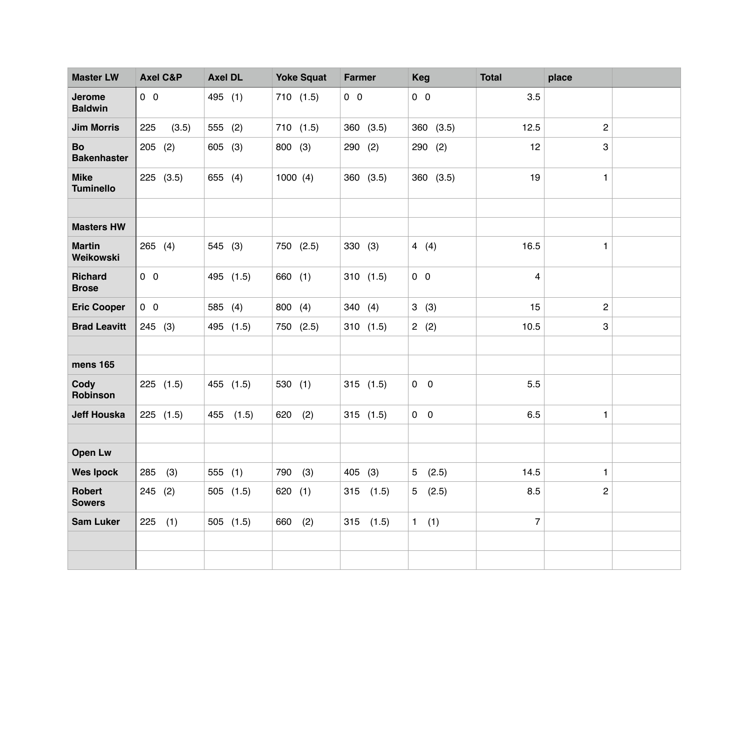| <b>Master LW</b>                | <b>Axel C&amp;P</b> | <b>Axel DL</b> | <b>Yoke Squat</b> | <b>Farmer</b> | <b>Keg</b>              | <b>Total</b>     | place          |  |
|---------------------------------|---------------------|----------------|-------------------|---------------|-------------------------|------------------|----------------|--|
| <b>Jerome</b><br><b>Baldwin</b> | $0\quad 0$          | 495 (1)        | 710(1.5)          | $0\quad 0$    | $0\quad 0$              | 3.5              |                |  |
| <b>Jim Morris</b>               | 225<br>(3.5)        | 555 (2)        | 710(1.5)          | 360 (3.5)     | 360 (3.5)               | 12.5             | $\overline{c}$ |  |
| Bo<br><b>Bakenhaster</b>        | 205<br>(2)          | 605<br>(3)     | 800 (3)           | 290 (2)       | 290<br>(2)              | 12               | 3              |  |
| <b>Mike</b><br><b>Tuminello</b> | 225 (3.5)           | 655 (4)        | 1000(4)           | 360 (3.5)     | 360 (3.5)               | 19               | 1              |  |
|                                 |                     |                |                   |               |                         |                  |                |  |
| <b>Masters HW</b>               |                     |                |                   |               |                         |                  |                |  |
| <b>Martin</b><br>Weikowski      | 265(4)              | 545 (3)        | 750 (2.5)         | 330<br>(3)    | 4(4)                    | 16.5             | 1              |  |
| <b>Richard</b><br><b>Brose</b>  | $0\quad 0$          | 495 (1.5)      | 660 (1)           | 310(1.5)      | $0\quad 0$              | 4                |                |  |
| <b>Eric Cooper</b>              | $0\quad 0$          | 585 (4)        | 800 (4)           | 340(4)        | 3(3)                    | 15               | 2              |  |
| <b>Brad Leavitt</b>             | 245(3)              | 495 (1.5)      | 750 (2.5)         | 310(1.5)      | 2(2)                    | 10.5             | 3              |  |
|                                 |                     |                |                   |               |                         |                  |                |  |
| mens 165                        |                     |                |                   |               |                         |                  |                |  |
| Cody<br>Robinson                | $225$ $(1.5)$       | 455 (1.5)      | 530(1)            | 315(1.5)      | $0\quad 0$              | 5.5              |                |  |
| <b>Jeff Houska</b>              | $225$ $(1.5)$       | 455<br>(1.5)   | (2)<br>620        | 315(1.5)      | $0\quad 0$              | 6.5              | $\mathbf{1}$   |  |
|                                 |                     |                |                   |               |                         |                  |                |  |
| <b>Open Lw</b>                  |                     |                |                   |               |                         |                  |                |  |
| <b>Wes Ipock</b>                | 285<br>(3)          | 555<br>(1)     | 790<br>(3)        | 405 (3)       | (2.5)<br>5 <sub>5</sub> | 14.5             | 1              |  |
| Robert<br><b>Sowers</b>         | 245 (2)             | 505 (1.5)      | 620 (1)           | $315$ $(1.5)$ | 5(2.5)                  | 8.5              | 2              |  |
| <b>Sam Luker</b>                | $225$ (1)           | 505(1.5)       | 660 (2)           | $315$ $(1.5)$ | 1 (1)                   | $\boldsymbol{7}$ |                |  |
|                                 |                     |                |                   |               |                         |                  |                |  |
|                                 |                     |                |                   |               |                         |                  |                |  |